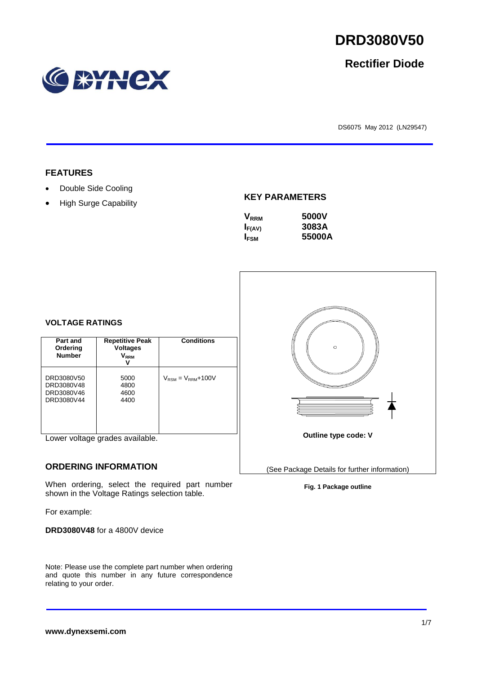# **RYNCX**

DS6075 May 2012 (LN29547)

# **FEATURES**

- Double Side Cooling
- High Surge Capability

#### **KEY PARAMETERS**

| 5000V  |
|--------|
| 3083A  |
| 55000A |
|        |

# **VOLTAGE RATINGS**

| Part and<br>Ordering<br><b>Number</b>                | <b>Repetitive Peak</b><br><b>Voltages</b><br>$\mathsf{V}_\mathsf{RRM}$ | <b>Conditions</b>                        |
|------------------------------------------------------|------------------------------------------------------------------------|------------------------------------------|
| DRD3080V50<br>DRD3080V48<br>DRD3080V46<br>DRD3080V44 | 5000<br>4800<br>4600<br>4400                                           | $V_{\text{RSM}} = V_{\text{RRM}} + 100V$ |

Lower voltage grades available.

#### **ORDERING INFORMATION**

When ordering, select the required part number shown in the Voltage Ratings selection table.

For example:

**DRD3080V48** for a 4800V device

Note: Please use the complete part number when ordering and quote this number in any future correspondence relating to your order.

#### **Fig. 1 Package outline**





**Rectifier Diode**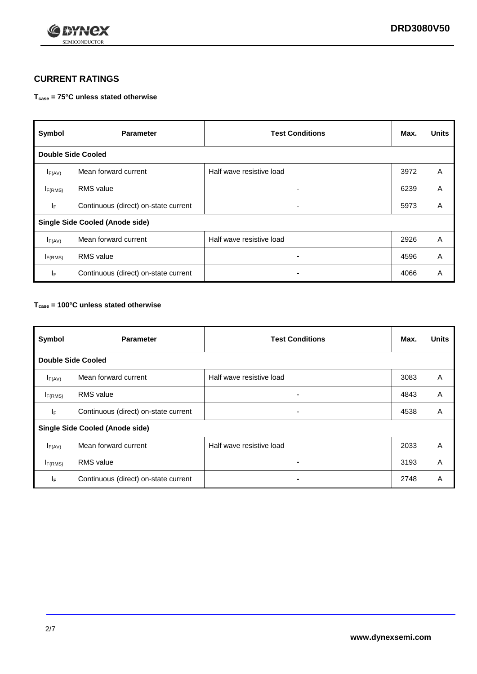

# **CURRENT RATINGS**

#### **Tcase = 75°C unless stated otherwise**

| Symbol                                 | <b>Parameter</b>                     | <b>Test Conditions</b>   | Max. | <b>Units</b> |  |  |  |
|----------------------------------------|--------------------------------------|--------------------------|------|--------------|--|--|--|
|                                        | <b>Double Side Cooled</b>            |                          |      |              |  |  |  |
| $I_{F(AV)}$                            | Mean forward current                 | Half wave resistive load | 3972 | A            |  |  |  |
| $I_{F(RMS)}$                           | <b>RMS</b> value                     | ۰                        | 6239 | A            |  |  |  |
| IF.                                    | Continuous (direct) on-state current | -                        | 5973 | A            |  |  |  |
| <b>Single Side Cooled (Anode side)</b> |                                      |                          |      |              |  |  |  |
| $I_{F(AV)}$                            | Mean forward current                 | Half wave resistive load | 2926 | A            |  |  |  |
| I <sub>F(RMS)</sub>                    | <b>RMS</b> value                     |                          | 4596 | A            |  |  |  |
| IF.                                    | Continuous (direct) on-state current |                          | 4066 | A            |  |  |  |

#### **Tcase = 100°C unless stated otherwise**

| Symbol                                 | <b>Parameter</b>                     | <b>Test Conditions</b>   | Max. | <b>Units</b> |  |
|----------------------------------------|--------------------------------------|--------------------------|------|--------------|--|
| <b>Double Side Cooled</b>              |                                      |                          |      |              |  |
| $I_{F(AV)}$                            | Mean forward current                 | Half wave resistive load | 3083 | A            |  |
| $I_{F(RMS)}$                           | <b>RMS</b> value                     | ٠                        | 4843 | A            |  |
| IF.                                    | Continuous (direct) on-state current | ۰                        | 4538 | A            |  |
| <b>Single Side Cooled (Anode side)</b> |                                      |                          |      |              |  |
| $I_{F(AV)}$                            | Mean forward current                 | Half wave resistive load | 2033 | A            |  |
| $I_{F(RMS)}$                           | <b>RMS</b> value                     |                          | 3193 | A            |  |
| IF.                                    | Continuous (direct) on-state current |                          | 2748 | A            |  |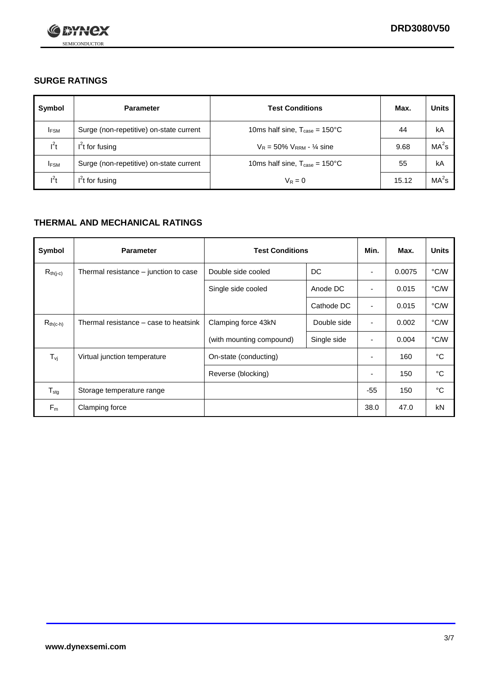

# **SURGE RATINGS**

| Symbol      | <b>Parameter</b>                        | <b>Test Conditions</b>                            | Max.  | <b>Units</b>      |
|-------------|-----------------------------------------|---------------------------------------------------|-------|-------------------|
| <b>IFSM</b> | Surge (non-repetitive) on-state current | 10ms half sine, $T_{\text{case}} = 150^{\circ}$ C | 44    | kA                |
| $l^2t$      | $I2t$ for fusing                        | $V_R = 50\% V_{RRM} - \frac{1}{4}$ sine           | 9.68  | MA <sup>2</sup> s |
| <b>IFSM</b> | Surge (non-repetitive) on-state current | 10ms half sine, $T_{\text{case}} = 150^{\circ}$ C | 55    | kA                |
| $l^2t$      | $I2t$ for fusing                        | $V_R = 0$                                         | 15.12 | MA <sup>2</sup> s |

# **THERMAL AND MECHANICAL RATINGS**

| Symbol            | <b>Parameter</b>                      | <b>Test Conditions</b>   |             | Min.                     | Max.   | <b>Units</b> |
|-------------------|---------------------------------------|--------------------------|-------------|--------------------------|--------|--------------|
| $R_{th(j-c)}$     | Thermal resistance – junction to case | Double side cooled       | DC          | ٠                        | 0.0075 | °C/W         |
|                   |                                       | Single side cooled       | Anode DC    | $\overline{\phantom{a}}$ | 0.015  | °C/W         |
|                   |                                       |                          | Cathode DC  | ٠                        | 0.015  | °C/W         |
| $R_{th(c-h)}$     | Thermal resistance – case to heatsink | Clamping force 43kN      | Double side | $\blacksquare$           | 0.002  | °C/W         |
|                   |                                       | (with mounting compound) | Single side | ٠                        | 0.004  | °C/W         |
| $T_{\mathsf{vj}}$ | Virtual junction temperature          | On-state (conducting)    |             |                          | 160    | °C           |
|                   |                                       | Reverse (blocking)       |             | ٠                        | 150    | °C           |
| $T_{\text{stg}}$  | Storage temperature range             |                          |             | $-55$                    | 150    | °C           |
| $F_m$             | Clamping force                        |                          |             | 38.0                     | 47.0   | kN           |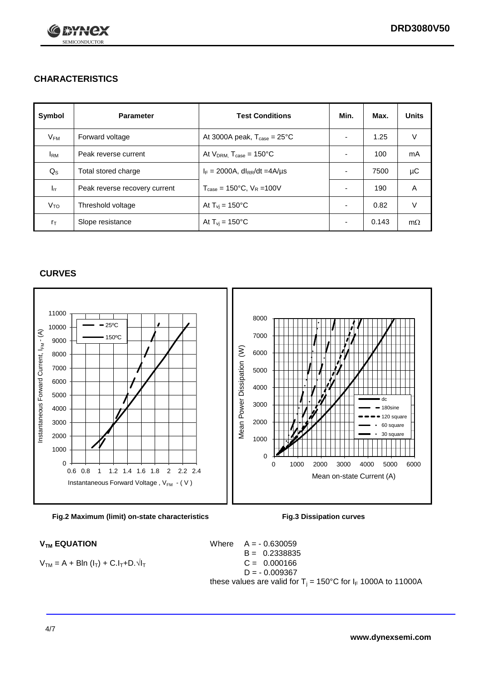

# **CHARACTERISTICS**

| Symbol            | <b>Parameter</b>              | <b>Test Conditions</b>                          | Min.                     | Max.  | <b>Units</b> |
|-------------------|-------------------------------|-------------------------------------------------|--------------------------|-------|--------------|
| $V_{\mathsf{FM}}$ | Forward voltage               | At 3000A peak, $T_{\text{case}} = 25^{\circ}C$  | ٠                        | 1.25  | V            |
| <b>IRM</b>        | Peak reverse current          | At $V_{DRM}$ , $T_{case} = 150^{\circ}C$        | $\overline{\phantom{0}}$ | 100   | mA           |
| $Q_{\rm S}$       | Total stored charge           | $I_F = 2000A$ , dl <sub>RR</sub> /dt =4A/µs     |                          | 7500  | μC           |
| $I_{rr}$          | Peak reverse recovery current | $T_{\text{case}} = 150^{\circ}$ C, $V_R = 100V$ | $\overline{\phantom{0}}$ | 190   | A            |
| V <sub>TO</sub>   | Threshold voltage             | At $T_{\rm{vj}}$ = 150°C                        | $\overline{\phantom{0}}$ | 0.82  | V            |
| $r_{\text{T}}$    | Slope resistance              | At $T_{\rm{vj}}$ = 150°C                        | $\overline{\phantom{0}}$ | 0.143 | $m\Omega$    |

#### **CURVES**





$$
V_{TM} = A + B\ln (I_T) + C.I_T + D.\sqrt{I_T}
$$

 $V_{TM}$  **EQUATION** Where  $A = -0.630059$ B = 0.2338835  $C = 0.000166$  $D = -0.009367$ these values are valid for  $T_i = 150^{\circ}$ C for  $I_F$  1000A to 11000A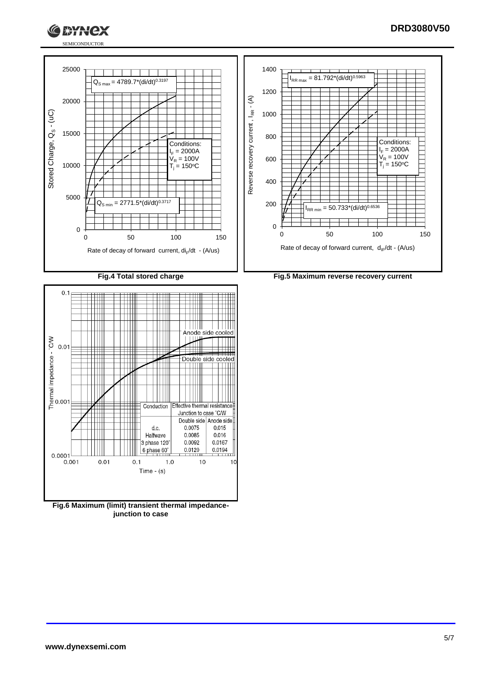



YQY





**Fig.6 Maximum (limit) transient thermal impedancejunction to case**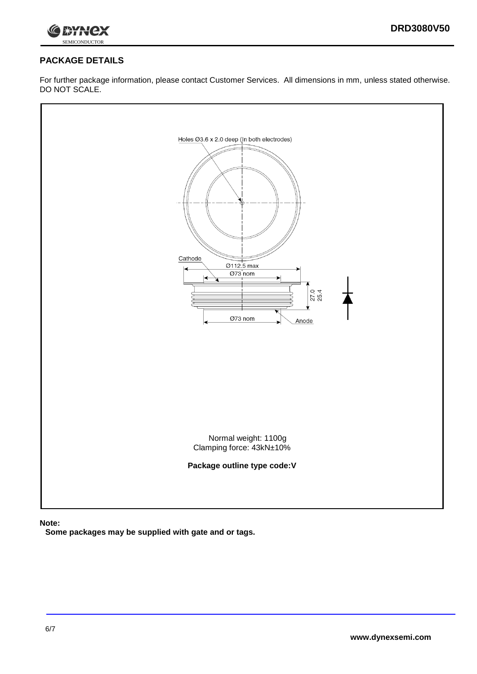



# **PACKAGE DETAILS**

For further package information, please contact Customer Services. All dimensions in mm, unless stated otherwise. DO NOT SCALE.



**Note:**

**Some packages may be supplied with gate and or tags.**